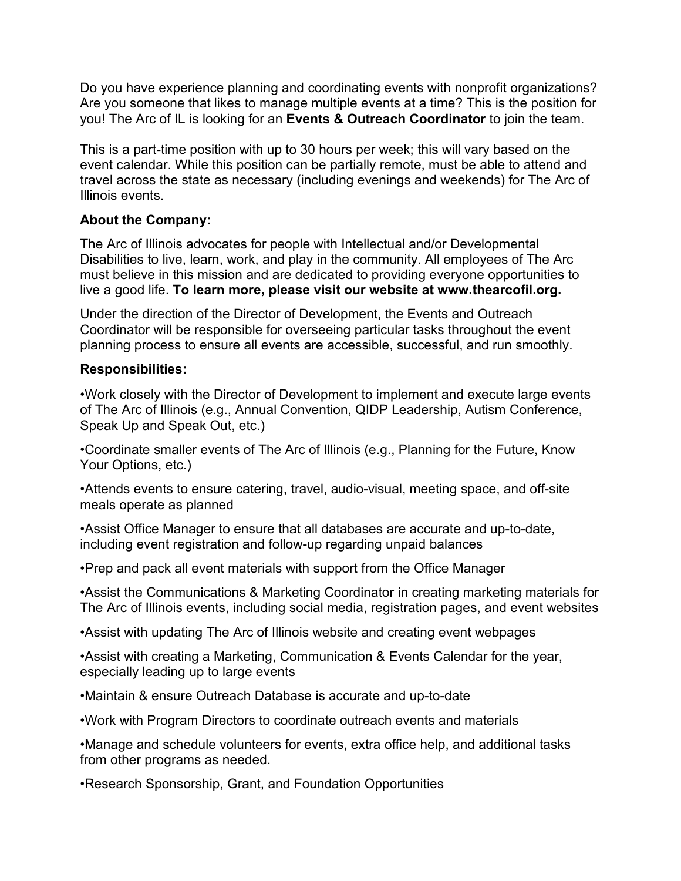Do you have experience planning and coordinating events with nonprofit organizations? Are you someone that likes to manage multiple events at a time? This is the position for you! The Arc of IL is looking for an **Events & Outreach Coordinator** to join the team.

This is a part-time position with up to 30 hours per week; this will vary based on the event calendar. While this position can be partially remote, must be able to attend and travel across the state as necessary (including evenings and weekends) for The Arc of Illinois events.

## **About the Company:**

The Arc of Illinois advocates for people with Intellectual and/or Developmental Disabilities to live, learn, work, and play in the community. All employees of The Arc must believe in this mission and are dedicated to providing everyone opportunities to live a good life. **To learn more, please visit our website at www.thearcofil.org.**

Under the direction of the Director of Development, the Events and Outreach Coordinator will be responsible for overseeing particular tasks throughout the event planning process to ensure all events are accessible, successful, and run smoothly.

## **Responsibilities:**

•Work closely with the Director of Development to implement and execute large events of The Arc of Illinois (e.g., Annual Convention, QIDP Leadership, Autism Conference, Speak Up and Speak Out, etc.)

•Coordinate smaller events of The Arc of Illinois (e.g., Planning for the Future, Know Your Options, etc.)

•Attends events to ensure catering, travel, audio-visual, meeting space, and off-site meals operate as planned

•Assist Office Manager to ensure that all databases are accurate and up-to-date, including event registration and follow-up regarding unpaid balances

•Prep and pack all event materials with support from the Office Manager

•Assist the Communications & Marketing Coordinator in creating marketing materials for The Arc of Illinois events, including social media, registration pages, and event websites

•Assist with updating The Arc of Illinois website and creating event webpages

•Assist with creating a Marketing, Communication & Events Calendar for the year, especially leading up to large events

•Maintain & ensure Outreach Database is accurate and up-to-date

•Work with Program Directors to coordinate outreach events and materials

•Manage and schedule volunteers for events, extra office help, and additional tasks from other programs as needed.

•Research Sponsorship, Grant, and Foundation Opportunities